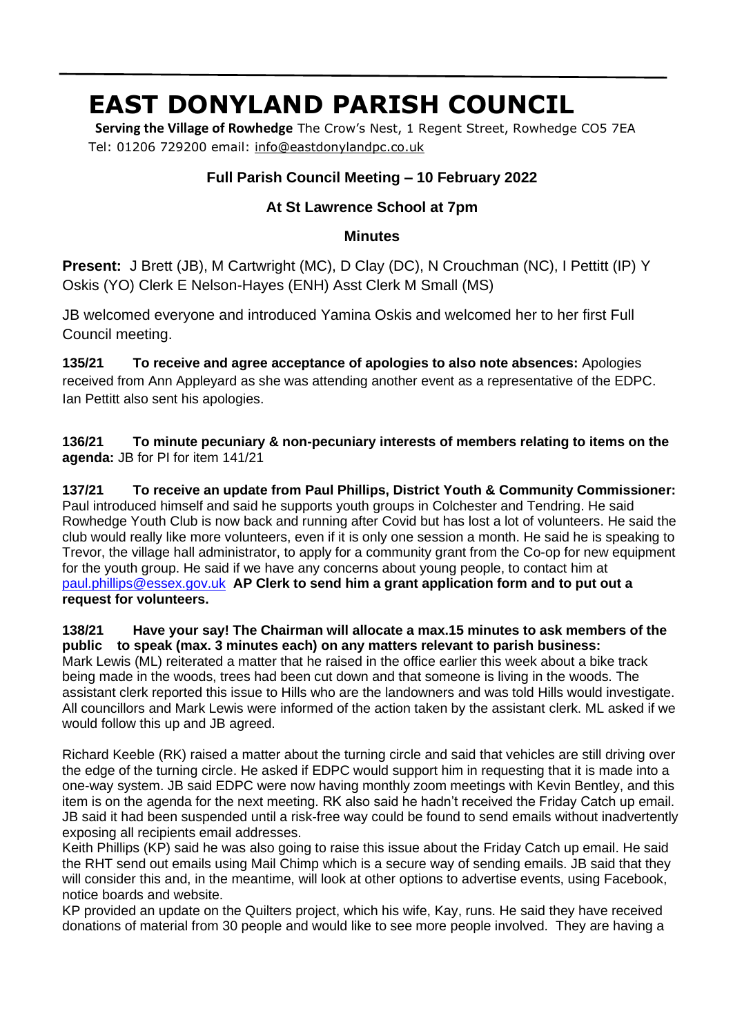# **EAST DONYLAND PARISH COUNCIL**

 **Serving the Village of Rowhedge** The Crow's Nest, 1 Regent Street, Rowhedge CO5 7EA Tel: 01206 729200 email: info@eastdonylandpc.co.uk

## **Full Parish Council Meeting – 10 February 2022**

## **At St Lawrence School at 7pm**

#### **Minutes**

**Present:** J Brett (JB), M Cartwright (MC), D Clay (DC), N Crouchman (NC), I Pettitt (IP) Y Oskis (YO) Clerk E Nelson-Hayes (ENH) Asst Clerk M Small (MS)

JB welcomed everyone and introduced Yamina Oskis and welcomed her to her first Full Council meeting.

**135/21 To receive and agree acceptance of apologies to also note absences:** Apologies received from Ann Appleyard as she was attending another event as a representative of the EDPC. Ian Pettitt also sent his apologies.

**136/21 To minute pecuniary & non-pecuniary interests of members relating to items on the agenda:** JB for PI for item 141/21

**137/21 To receive an update from Paul Phillips, District Youth & Community Commissioner:**  Paul introduced himself and said he supports youth groups in Colchester and Tendring. He said Rowhedge Youth Club is now back and running after Covid but has lost a lot of volunteers. He said the club would really like more volunteers, even if it is only one session a month. He said he is speaking to Trevor, the village hall administrator, to apply for a community grant from the Co-op for new equipment for the youth group. He said if we have any concerns about young people, to contact him at paul.phillips@essex.gov.uk **AP Clerk to send him a grant application form and to put out a request for volunteers.**

**138/21 Have your say! The Chairman will allocate a max.15 minutes to ask members of the public to speak (max. 3 minutes each) on any matters relevant to parish business:** Mark Lewis (ML) reiterated a matter that he raised in the office earlier this week about a bike track being made in the woods, trees had been cut down and that someone is living in the woods. The assistant clerk reported this issue to Hills who are the landowners and was told Hills would investigate. All councillors and Mark Lewis were informed of the action taken by the assistant clerk. ML asked if we would follow this up and JB agreed.

Richard Keeble (RK) raised a matter about the turning circle and said that vehicles are still driving over the edge of the turning circle. He asked if EDPC would support him in requesting that it is made into a one-way system. JB said EDPC were now having monthly zoom meetings with Kevin Bentley, and this item is on the agenda for the next meeting. RK also said he hadn't received the Friday Catch up email. JB said it had been suspended until a risk-free way could be found to send emails without inadvertently exposing all recipients email addresses.

Keith Phillips (KP) said he was also going to raise this issue about the Friday Catch up email. He said the RHT send out emails using Mail Chimp which is a secure way of sending emails. JB said that they will consider this and, in the meantime, will look at other options to advertise events, using Facebook, notice boards and website.

KP provided an update on the Quilters project, which his wife, Kay, runs. He said they have received donations of material from 30 people and would like to see more people involved. They are having a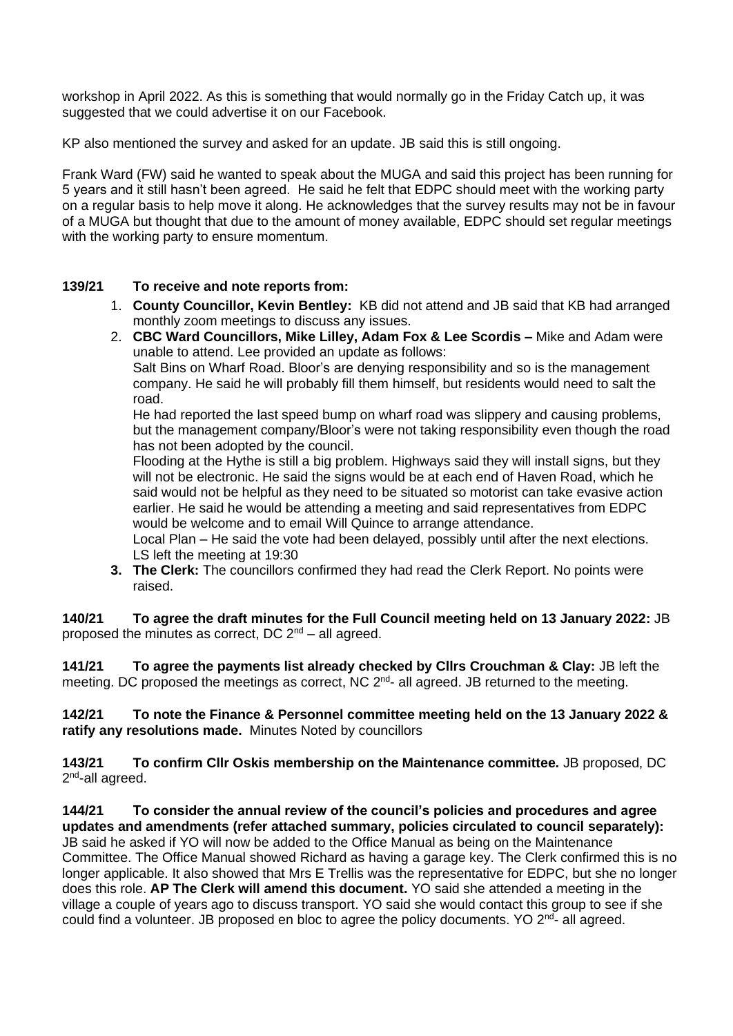workshop in April 2022. As this is something that would normally go in the Friday Catch up, it was suggested that we could advertise it on our Facebook.

KP also mentioned the survey and asked for an update. JB said this is still ongoing.

Frank Ward (FW) said he wanted to speak about the MUGA and said this project has been running for 5 years and it still hasn't been agreed. He said he felt that EDPC should meet with the working party on a regular basis to help move it along. He acknowledges that the survey results may not be in favour of a MUGA but thought that due to the amount of money available, EDPC should set regular meetings with the working party to ensure momentum.

#### **139/21 To receive and note reports from:**

- 1. **County Councillor, Kevin Bentley:** KB did not attend and JB said that KB had arranged monthly zoom meetings to discuss any issues.
- 2. **CBC Ward Councillors, Mike Lilley, Adam Fox & Lee Scordis –** Mike and Adam were unable to attend. Lee provided an update as follows: Salt Bins on Wharf Road. Bloor's are denying responsibility and so is the management company. He said he will probably fill them himself, but residents would need to salt the road.

He had reported the last speed bump on wharf road was slippery and causing problems, but the management company/Bloor's were not taking responsibility even though the road has not been adopted by the council.

Flooding at the Hythe is still a big problem. Highways said they will install signs, but they will not be electronic. He said the signs would be at each end of Haven Road, which he said would not be helpful as they need to be situated so motorist can take evasive action earlier. He said he would be attending a meeting and said representatives from EDPC would be welcome and to email Will Quince to arrange attendance.

Local Plan – He said the vote had been delayed, possibly until after the next elections. LS left the meeting at 19:30

**3. The Clerk:** The councillors confirmed they had read the Clerk Report. No points were raised.

**140/21 To agree the draft minutes for the Full Council meeting held on 13 January 2022:** JB proposed the minutes as correct, DC  $2<sup>nd</sup> - all agreed$ .

**141/21 To agree the payments list already checked by Cllrs Crouchman & Clay:** JB left the meeting. DC proposed the meetings as correct, NC 2<sup>nd</sup>- all agreed. JB returned to the meeting.

**142/21 To note the Finance & Personnel committee meeting held on the 13 January 2022 & ratify any resolutions made.** Minutes Noted by councillors

**143/21 To confirm Cllr Oskis membership on the Maintenance committee.** JB proposed, DC 2<sup>nd</sup>-all agreed.

**144/21 To consider the annual review of the council's policies and procedures and agree updates and amendments (refer attached summary, policies circulated to council separately):** JB said he asked if YO will now be added to the Office Manual as being on the Maintenance Committee. The Office Manual showed Richard as having a garage key. The Clerk confirmed this is no longer applicable. It also showed that Mrs E Trellis was the representative for EDPC, but she no longer does this role. **AP The Clerk will amend this document.** YO said she attended a meeting in the village a couple of years ago to discuss transport. YO said she would contact this group to see if she could find a volunteer. JB proposed en bloc to agree the policy documents. YO 2<sup>nd</sup>- all agreed.